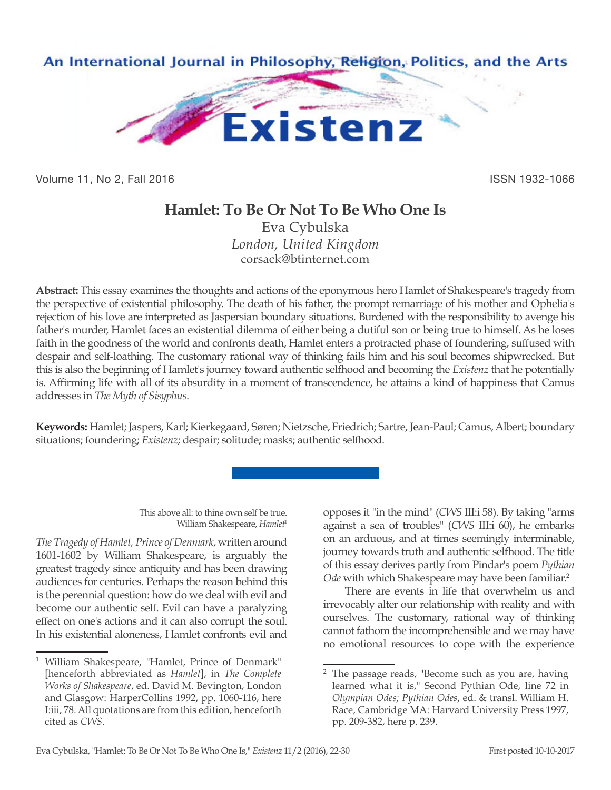

Volume 11, No 2, Fall 2016 **ISSN 1932-1066** 

# **Hamlet: To Be Or Not To Be Who One Is**

Eva Cybulska *London, United Kingdom* corsack@btinternet.com

**Abstract:** This essay examines the thoughts and actions of the eponymous hero Hamlet of Shakespeare's tragedy from the perspective of existential philosophy. The death of his father, the prompt remarriage of his mother and Ophelia's rejection of his love are interpreted as Jaspersian boundary situations. Burdened with the responsibility to avenge his father's murder, Hamlet faces an existential dilemma of either being a dutiful son or being true to himself. As he loses faith in the goodness of the world and confronts death, Hamlet enters a protracted phase of foundering, suffused with despair and self-loathing. The customary rational way of thinking fails him and his soul becomes shipwrecked. But this is also the beginning of Hamlet's journey toward authentic selfhood and becoming the *Existenz* that he potentially is. Affirming life with all of its absurdity in a moment of transcendence, he attains a kind of happiness that Camus addresses in *The Myth of Sisyphus*.

**Keywords:** Hamlet; Jaspers, Karl; Kierkegaard, Søren; Nietzsche, Friedrich; Sartre, Jean-Paul; Camus, Albert; boundary situations; foundering; *Existenz*; despair; solitude; masks; authentic selfhood.

> This above all: to thine own self be true. William Shakespeare, *Hamlet*<sup>1</sup>

*The Tragedy of Hamlet, Prince of Denmark*, written around 1601-1602 by William Shakespeare, is arguably the greatest tragedy since antiquity and has been drawing audiences for centuries. Perhaps the reason behind this is the perennial question: how do we deal with evil and become our authentic self. Evil can have a paralyzing effect on one's actions and it can also corrupt the soul. In his existential aloneness, Hamlet confronts evil and opposes it "in the mind" (*CWS* III:i 58). By taking "arms against a sea of troubles" (*CWS* III:i 60), he embarks on an arduous, and at times seemingly interminable, journey towards truth and authentic selfhood. The title of this essay derives partly from Pindar's poem *Pythian*  Ode with which Shakespeare may have been familiar.<sup>2</sup>

There are events in life that overwhelm us and irrevocably alter our relationship with reality and with ourselves. The customary, rational way of thinking cannot fathom the incomprehensible and we may have no emotional resources to cope with the experience

<sup>1</sup> William Shakespeare, "Hamlet, Prince of Denmark" [henceforth abbreviated as *Hamlet*], in *The Complete Works of Shakespeare*, ed. David M. Bevington, London and Glasgow: HarperCollins 1992, pp. 1060-116, here I:iii, 78. All quotations are from this edition, henceforth cited as *CWS*.

<sup>2</sup> The passage reads, "Become such as you are, having learned what it is," Second Pythian Ode, line 72 in *Olympian Odes; Pythian Odes*, ed. & transl. William H. Race, Cambridge MA: Harvard University Press 1997, pp. 209-382, here p. 239.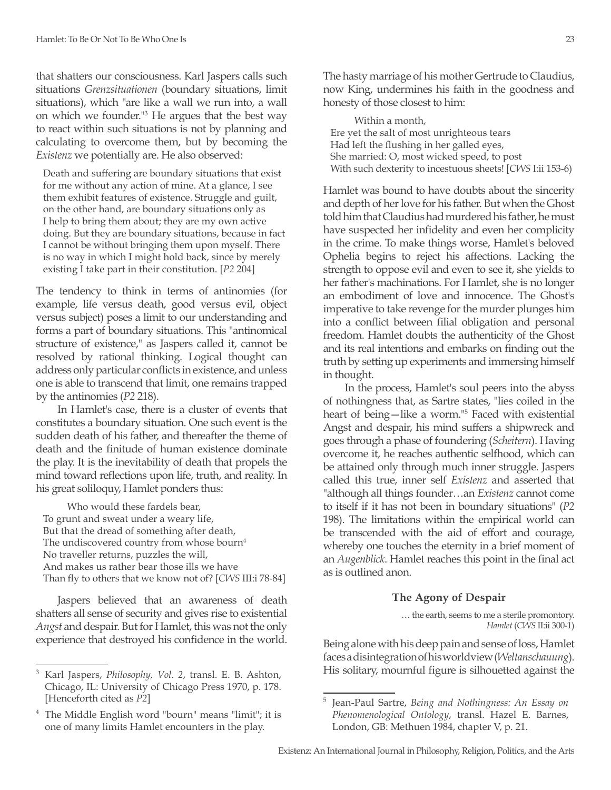that shatters our consciousness. Karl Jaspers calls such situations *Grenzsituationen* (boundary situations, limit situations), which "are like a wall we run into, a wall on which we founder."3 He argues that the best way to react within such situations is not by planning and calculating to overcome them, but by becoming the *Existenz* we potentially are. He also observed:

Death and suffering are boundary situations that exist for me without any action of mine. At a glance, I see them exhibit features of existence. Struggle and guilt, on the other hand, are boundary situations only as I help to bring them about; they are my own active doing. But they are boundary situations, because in fact I cannot be without bringing them upon myself. There is no way in which I might hold back, since by merely existing I take part in their constitution. [*P2* 204]

The tendency to think in terms of antinomies (for example, life versus death, good versus evil, object versus subject) poses a limit to our understanding and forms a part of boundary situations. This "antinomical structure of existence," as Jaspers called it, cannot be resolved by rational thinking. Logical thought can address only particular conflicts in existence, and unless one is able to transcend that limit, one remains trapped by the antinomies (*P2* 218).

In Hamlet's case, there is a cluster of events that constitutes a boundary situation. One such event is the sudden death of his father, and thereafter the theme of death and the finitude of human existence dominate the play. It is the inevitability of death that propels the mind toward reflections upon life, truth, and reality. In his great soliloquy, Hamlet ponders thus:

Who would these fardels bear, To grunt and sweat under a weary life, But that the dread of something after death, The undiscovered country from whose bourn<sup>4</sup> No traveller returns, puzzles the will, And makes us rather bear those ills we have Than fly to others that we know not of? [*CWS* III:i 78-84]

Jaspers believed that an awareness of death shatters all sense of security and gives rise to existential *Angst* and despair. But for Hamlet, this was not the only experience that destroyed his confidence in the world. The hasty marriage of his mother Gertrude to Claudius, now King, undermines his faith in the goodness and honesty of those closest to him:

Within a month, Ere yet the salt of most unrighteous tears Had left the flushing in her galled eyes, She married: O, most wicked speed, to post With such dexterity to incestuous sheets! [*CWS* I:ii 153-6)

Hamlet was bound to have doubts about the sincerity and depth of her love for his father. But when the Ghost told him that Claudius had murdered his father, he must have suspected her infidelity and even her complicity in the crime. To make things worse, Hamlet's beloved Ophelia begins to reject his affections. Lacking the strength to oppose evil and even to see it, she yields to her father's machinations. For Hamlet, she is no longer an embodiment of love and innocence. The Ghost's imperative to take revenge for the murder plunges him into a conflict between filial obligation and personal freedom. Hamlet doubts the authenticity of the Ghost and its real intentions and embarks on finding out the truth by setting up experiments and immersing himself in thought.

In the process, Hamlet's soul peers into the abyss of nothingness that, as Sartre states, "lies coiled in the heart of being—like a worm."5 Faced with existential Angst and despair, his mind suffers a shipwreck and goes through a phase of foundering (*Scheitern*). Having overcome it, he reaches authentic selfhood, which can be attained only through much inner struggle. Jaspers called this true, inner self *Existenz* and asserted that "although all things founder…an *Existenz* cannot come to itself if it has not been in boundary situations" (*P2* 198). The limitations within the empirical world can be transcended with the aid of effort and courage, whereby one touches the eternity in a brief moment of an *Augenblick*. Hamlet reaches this point in the final act as is outlined anon.

## **The Agony of Despair**

 … the earth, seems to me a sterile promontory. *Hamlet* (*CWS* II:ii 300-1)

Being alone with his deep pain and sense of loss, Hamlet faces a disintegration of his worldview (*Weltanschauung*). His solitary, mournful figure is silhouetted against the

<sup>3</sup> Karl Jaspers, *Philosophy, Vol. 2*, transl. E. B. Ashton, Chicago, IL: University of Chicago Press 1970, p. 178. [Henceforth cited as *P2*]

<sup>4</sup> The Middle English word "bourn" means "limit"; it is one of many limits Hamlet encounters in the play.

<sup>5</sup> Jean-Paul Sartre, *Being and Nothingness: An Essay on Phenomenological Ontology*, transl. Hazel E. Barnes, London, GB: Methuen 1984, chapter V, p. 21.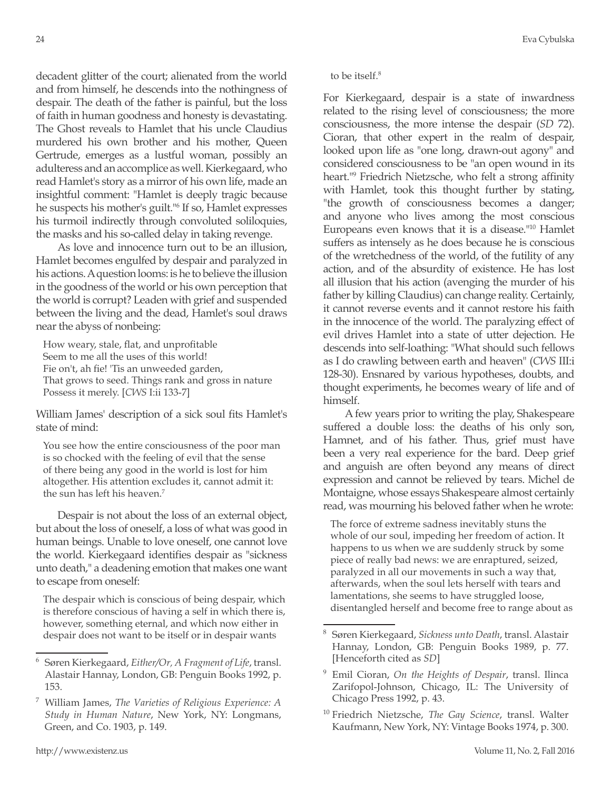decadent glitter of the court; alienated from the world and from himself, he descends into the nothingness of despair. The death of the father is painful, but the loss of faith in human goodness and honesty is devastating. The Ghost reveals to Hamlet that his uncle Claudius murdered his own brother and his mother, Queen Gertrude, emerges as a lustful woman, possibly an adulteress and an accomplice as well. Kierkegaard, who read Hamlet's story as a mirror of his own life, made an insightful comment: "Hamlet is deeply tragic because he suspects his mother's guilt."6 If so, Hamlet expresses his turmoil indirectly through convoluted soliloquies, the masks and his so-called delay in taking revenge.

As love and innocence turn out to be an illusion, Hamlet becomes engulfed by despair and paralyzed in his actions. A question looms: is he to believe the illusion in the goodness of the world or his own perception that the world is corrupt? Leaden with grief and suspended between the living and the dead, Hamlet's soul draws near the abyss of nonbeing:

How weary, stale, flat, and unprofitable Seem to me all the uses of this world! Fie on't, ah fie! 'Tis an unweeded garden, That grows to seed. Things rank and gross in nature Possess it merely. [*CWS* I:ii 133-7]

William James' description of a sick soul fits Hamlet's state of mind:

You see how the entire consciousness of the poor man is so chocked with the feeling of evil that the sense of there being any good in the world is lost for him altogether. His attention excludes it, cannot admit it: the sun has left his heaven.<sup>7</sup>

Despair is not about the loss of an external object, but about the loss of oneself, a loss of what was good in human beings. Unable to love oneself, one cannot love the world. Kierkegaard identifies despair as "sickness unto death," a deadening emotion that makes one want to escape from oneself:

The despair which is conscious of being despair, which is therefore conscious of having a self in which there is, however, something eternal, and which now either in despair does not want to be itself or in despair wants

For Kierkegaard, despair is a state of inwardness related to the rising level of consciousness; the more consciousness, the more intense the despair (*SD* 72). Cioran, that other expert in the realm of despair, looked upon life as "one long, drawn-out agony" and considered consciousness to be "an open wound in its heart."9 Friedrich Nietzsche, who felt a strong affinity with Hamlet, took this thought further by stating, "the growth of consciousness becomes a danger; and anyone who lives among the most conscious Europeans even knows that it is a disease."10 Hamlet suffers as intensely as he does because he is conscious of the wretchedness of the world, of the futility of any action, and of the absurdity of existence. He has lost all illusion that his action (avenging the murder of his father by killing Claudius) can change reality. Certainly, it cannot reverse events and it cannot restore his faith in the innocence of the world. The paralyzing effect of evil drives Hamlet into a state of utter dejection. He descends into self-loathing: "What should such fellows as I do crawling between earth and heaven" (*CWS* III:i 128-30). Ensnared by various hypotheses, doubts, and thought experiments, he becomes weary of life and of himself.

A few years prior to writing the play, Shakespeare suffered a double loss: the deaths of his only son, Hamnet, and of his father. Thus, grief must have been a very real experience for the bard. Deep grief and anguish are often beyond any means of direct expression and cannot be relieved by tears. Michel de Montaigne, whose essays Shakespeare almost certainly read, was mourning his beloved father when he wrote:

The force of extreme sadness inevitably stuns the whole of our soul, impeding her freedom of action. It happens to us when we are suddenly struck by some piece of really bad news: we are enraptured, seized, paralyzed in all our movements in such a way that, afterwards, when the soul lets herself with tears and lamentations, she seems to have struggled loose, disentangled herself and become free to range about as

<sup>6</sup> Søren Kierkegaard, *Either/Or, A Fragment of Life*, transl. Alastair Hannay, London, GB: Penguin Books 1992, p. 153.

<sup>7</sup> William James, *The Varieties of Religious Experience: A Study in Human Nature*, New York, NY: Longmans, Green, and Co. 1903, p. 149.

<sup>8</sup> Søren Kierkegaard, *Sickness unto Death*, transl. Alastair Hannay, London, GB: Penguin Books 1989, p. 77. [Henceforth cited as *SD*]

<sup>9</sup> Emil Cioran, *On the Heights of Despair*, transl. Ilinca Zarifopol-Johnson, Chicago, IL: The University of Chicago Press 1992, p. 43.

<sup>10</sup> Friedrich Nietzsche, *The Gay Science*, transl. Walter Kaufmann, New York, NY: Vintage Books 1974, p. 300.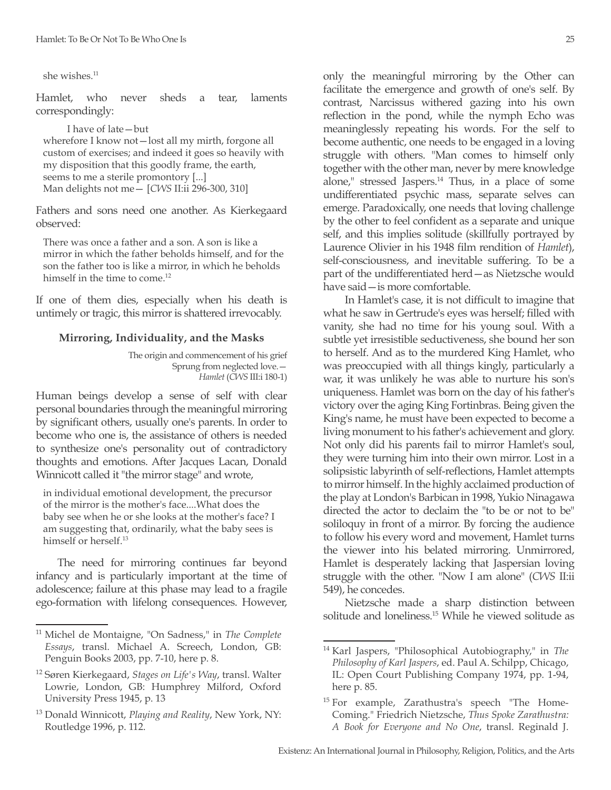she wishes.11

Hamlet, who never sheds a tear, laments correspondingly:

I have of late—but wherefore I know not—lost all my mirth, forgone all custom of exercises; and indeed it goes so heavily with my disposition that this goodly frame, the earth, seems to me a sterile promontory [...] Man delights not me— [*CWS* II:ii 296-300, 310]

Fathers and sons need one another. As Kierkegaard observed:

There was once a father and a son. A son is like a mirror in which the father beholds himself, and for the son the father too is like a mirror, in which he beholds himself in the time to come.<sup>12</sup>

If one of them dies, especially when his death is untimely or tragic, this mirror is shattered irrevocably.

#### **Mirroring, Individuality, and the Masks**

The origin and commencement of his grief Sprung from neglected love.— *Hamlet* (*CWS* III:i 180-1)

Human beings develop a sense of self with clear personal boundaries through the meaningful mirroring by significant others, usually one's parents. In order to become who one is, the assistance of others is needed to synthesize one's personality out of contradictory thoughts and emotions. After Jacques Lacan, Donald Winnicott called it "the mirror stage" and wrote,

in individual emotional development, the precursor of the mirror is the mother's face....What does the baby see when he or she looks at the mother's face? I am suggesting that, ordinarily, what the baby sees is himself or herself<sup>13</sup>

The need for mirroring continues far beyond infancy and is particularly important at the time of adolescence; failure at this phase may lead to a fragile ego-formation with lifelong consequences. However,

only the meaningful mirroring by the Other can facilitate the emergence and growth of one's self. By contrast, Narcissus withered gazing into his own reflection in the pond, while the nymph Echo was meaninglessly repeating his words. For the self to become authentic, one needs to be engaged in a loving struggle with others. "Man comes to himself only together with the other man, never by mere knowledge alone," stressed Jaspers.<sup>14</sup> Thus, in a place of some undifferentiated psychic mass, separate selves can emerge. Paradoxically, one needs that loving challenge by the other to feel confident as a separate and unique self, and this implies solitude (skillfully portrayed by Laurence Olivier in his 1948 film rendition of *Hamlet*), self-consciousness, and inevitable suffering. To be a part of the undifferentiated herd—as Nietzsche would have said—is more comfortable.

In Hamlet's case, it is not difficult to imagine that what he saw in Gertrude's eyes was herself; filled with vanity, she had no time for his young soul. With a subtle yet irresistible seductiveness, she bound her son to herself. And as to the murdered King Hamlet, who was preoccupied with all things kingly, particularly a war, it was unlikely he was able to nurture his son's uniqueness. Hamlet was born on the day of his father's victory over the aging King Fortinbras. Being given the King's name, he must have been expected to become a living monument to his father's achievement and glory. Not only did his parents fail to mirror Hamlet's soul, they were turning him into their own mirror. Lost in a solipsistic labyrinth of self-reflections, Hamlet attempts to mirror himself. In the highly acclaimed production of the play at London's Barbican in 1998, Yukio Ninagawa directed the actor to declaim the "to be or not to be" soliloquy in front of a mirror. By forcing the audience to follow his every word and movement, Hamlet turns the viewer into his belated mirroring. Unmirrored, Hamlet is desperately lacking that Jaspersian loving struggle with the other. "Now I am alone" (*CWS* II:ii 549), he concedes.

Nietzsche made a sharp distinction between solitude and loneliness.<sup>15</sup> While he viewed solitude as

<sup>11</sup> Michel de Montaigne, "On Sadness," in *The Complete Essays*, transl. Michael A. Screech, London, GB: Penguin Books 2003, pp. 7-10, here p. 8.

<sup>12</sup> Søren Kierkegaard, *Stages on Life's Way*, transl. Walter Lowrie, London, GB: Humphrey Milford, Oxford University Press 1945, p. 13

<sup>13</sup> Donald Winnicott, *Playing and Reality*, New York, NY: Routledge 1996, p. 112.

<sup>14</sup> Karl Jaspers, "Philosophical Autobiography," in *The Philosophy of Karl Jaspers*, ed. Paul A. Schilpp, Chicago, IL: Open Court Publishing Company 1974, pp. 1-94, here p. 85.

<sup>&</sup>lt;sup>15</sup> For example, Zarathustra's speech "The Home-Coming." Friedrich Nietzsche, *Thus Spoke Zarathustra: A Book for Everyone and No One*, transl. Reginald J.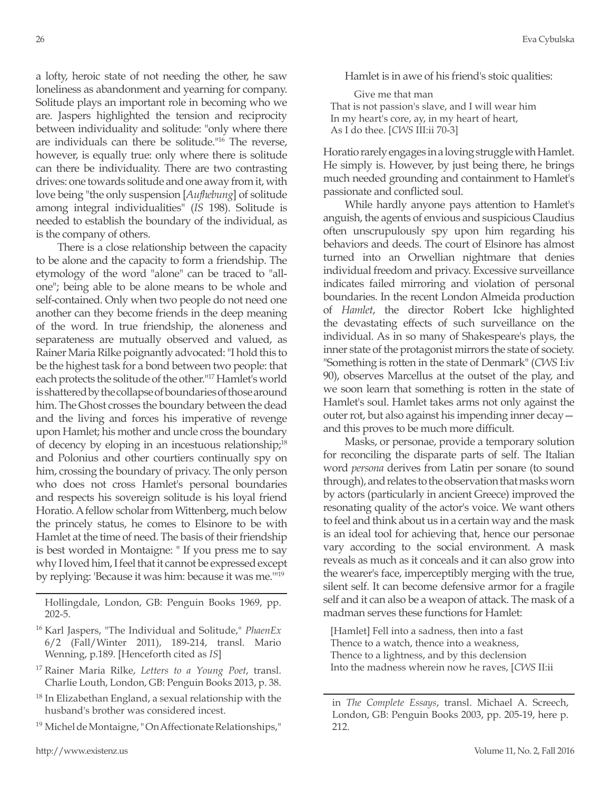a lofty, heroic state of not needing the other, he saw loneliness as abandonment and yearning for company. Solitude plays an important role in becoming who we are. Jaspers highlighted the tension and reciprocity between individuality and solitude: "only where there are individuals can there be solitude."16 The reverse, however, is equally true: only where there is solitude can there be individuality. There are two contrasting drives: one towards solitude and one away from it, with love being "the only suspension [*Aufhebung*] of solitude among integral individualities" (*IS* 198). Solitude is needed to establish the boundary of the individual, as is the company of others.

There is a close relationship between the capacity to be alone and the capacity to form a friendship. The etymology of the word "alone" can be traced to "allone"; being able to be alone means to be whole and self-contained. Only when two people do not need one another can they become friends in the deep meaning of the word. In true friendship, the aloneness and separateness are mutually observed and valued, as Rainer Maria Rilke poignantly advocated: "I hold this to be the highest task for a bond between two people: that each protects the solitude of the other."17 Hamlet's world is shattered by the collapse of boundaries of those around him. The Ghost crosses the boundary between the dead and the living and forces his imperative of revenge upon Hamlet; his mother and uncle cross the boundary of decency by eloping in an incestuous relationship;18 and Polonius and other courtiers continually spy on him, crossing the boundary of privacy. The only person who does not cross Hamlet's personal boundaries and respects his sovereign solitude is his loyal friend Horatio. A fellow scholar from Wittenberg, much below the princely status, he comes to Elsinore to be with Hamlet at the time of need. The basis of their friendship is best worded in Montaigne: " If you press me to say why I loved him, I feel that it cannot be expressed except by replying: 'Because it was him: because it was me.'"19

Hollingdale, London, GB: Penguin Books 1969, pp. 202-5.

- <sup>16</sup> Karl Jaspers, "The Individual and Solitude," *PhaenEx* 6/2 (Fall/Winter 2011), 189-214, transl. Mario Wenning, p.189. [Henceforth cited as *IS*]
- <sup>17</sup> Rainer Maria Rilke, *Letters to a Young Poet*, transl. Charlie Louth, London, GB: Penguin Books 2013, p. 38.
- $18$  In Elizabethan England, a sexual relationship with the husband's brother was considered incest.
- <sup>19</sup> Michel de Montaigne, " On Affectionate Relationships,"

Hamlet is in awe of his friend's stoic qualities:

Give me that man That is not passion's slave, and I will wear him In my heart's core, ay, in my heart of heart, As I do thee. [*CWS* III:ii 70-3]

Horatio rarely engages in a loving struggle with Hamlet. He simply is. However, by just being there, he brings much needed grounding and containment to Hamlet's passionate and conflicted soul.

While hardly anyone pays attention to Hamlet's anguish, the agents of envious and suspicious Claudius often unscrupulously spy upon him regarding his behaviors and deeds. The court of Elsinore has almost turned into an Orwellian nightmare that denies individual freedom and privacy. Excessive surveillance indicates failed mirroring and violation of personal boundaries. In the recent London Almeida production of *Hamlet*, the director Robert Icke highlighted the devastating effects of such surveillance on the individual. As in so many of Shakespeare's plays, the inner state of the protagonist mirrors the state of society. "Something is rotten in the state of Denmark" (*CWS* I:iv 90), observes Marcellus at the outset of the play, and we soon learn that something is rotten in the state of Hamlet's soul. Hamlet takes arms not only against the outer rot, but also against his impending inner decay and this proves to be much more difficult.

Masks, or personae, provide a temporary solution for reconciling the disparate parts of self. The Italian word *persona* derives from Latin per sonare (to sound through), and relates to the observation that masks worn by actors (particularly in ancient Greece) improved the resonating quality of the actor's voice. We want others to feel and think about us in a certain way and the mask is an ideal tool for achieving that, hence our personae vary according to the social environment. A mask reveals as much as it conceals and it can also grow into the wearer's face, imperceptibly merging with the true, silent self. It can become defensive armor for a fragile self and it can also be a weapon of attack. The mask of a madman serves these functions for Hamlet:

[Hamlet] Fell into a sadness, then into a fast Thence to a watch, thence into a weakness, Thence to a lightness, and by this declension Into the madness wherein now he raves, [*CWS* II:ii

in *The Complete Essays*, transl. Michael A. Screech, London, GB: Penguin Books 2003, pp. 205-19, here p. 212.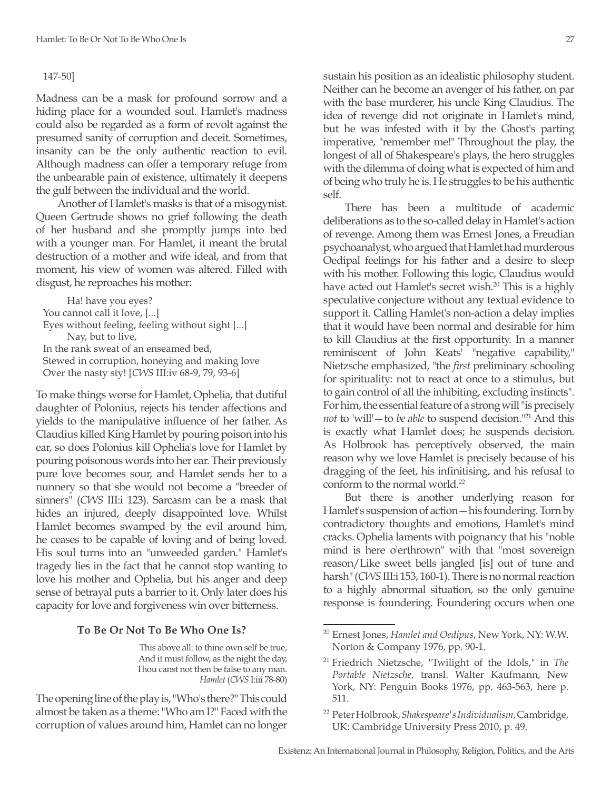### 147-50]

Madness can be a mask for profound sorrow and a hiding place for a wounded soul. Hamlet's madness could also be regarded as a form of revolt against the presumed sanity of corruption and deceit. Sometimes, insanity can be the only authentic reaction to evil. Although madness can offer a temporary refuge from the unbearable pain of existence, ultimately it deepens the gulf between the individual and the world.

Another of Hamlet's masks is that of a misogynist. Queen Gertrude shows no grief following the death of her husband and she promptly jumps into bed with a younger man. For Hamlet, it meant the brutal destruction of a mother and wife ideal, and from that moment, his view of women was altered. Filled with disgust, he reproaches his mother:

Ha! have you eyes? You cannot call it love, [...] Eyes without feeling, feeling without sight [...] Nay, but to live, In the rank sweat of an enseamed bed, Stewed in corruption, honeying and making love Over the nasty sty! [*CWS* III:iv 68-9, 79, 93-6]

To make things worse for Hamlet, Ophelia, that dutiful daughter of Polonius, rejects his tender affections and yields to the manipulative influence of her father. As Claudius killed King Hamlet by pouring poison into his ear, so does Polonius kill Ophelia's love for Hamlet by pouring poisonous words into her ear. Their previously pure love becomes sour, and Hamlet sends her to a nunnery so that she would not become a "breeder of sinners" (*CWS* III:i 123). Sarcasm can be a mask that hides an injured, deeply disappointed love. Whilst Hamlet becomes swamped by the evil around him, he ceases to be capable of loving and of being loved. His soul turns into an "unweeded garden." Hamlet's tragedy lies in the fact that he cannot stop wanting to love his mother and Ophelia, but his anger and deep sense of betrayal puts a barrier to it. Only later does his capacity for love and forgiveness win over bitterness.

#### **To Be Or Not To Be Who One Is?**

This above all: to thine own self be true, And it must follow, as the night the day, Thou canst not then be false to any man. *Hamlet* (*CWS* I:iii 78-80)

The opening line of the play is, "Who's there?" This could almost be taken as a theme: "Who am I?" Faced with the corruption of values around him, Hamlet can no longer

sustain his position as an idealistic philosophy student. Neither can he become an avenger of his father, on par with the base murderer, his uncle King Claudius. The idea of revenge did not originate in Hamlet's mind, but he was infested with it by the Ghost's parting imperative, "remember me!" Throughout the play, the longest of all of Shakespeare's plays, the hero struggles with the dilemma of doing what is expected of him and of being who truly he is. He struggles to be his authentic self.

There has been a multitude of academic deliberations as to the so-called delay in Hamlet's action of revenge. Among them was Ernest Jones, a Freudian psychoanalyst, who argued that Hamlet had murderous Oedipal feelings for his father and a desire to sleep with his mother. Following this logic, Claudius would have acted out Hamlet's secret wish.<sup>20</sup> This is a highly speculative conjecture without any textual evidence to support it. Calling Hamlet's non-action a delay implies that it would have been normal and desirable for him to kill Claudius at the first opportunity. In a manner reminiscent of John Keats' "negative capability," Nietzsche emphasized, "the *first* preliminary schooling for spirituality: not to react at once to a stimulus, but to gain control of all the inhibiting, excluding instincts". For him, the essential feature of a strong will "is precisely *not* to 'will'—to *be able* to suspend decision."21 And this is exactly what Hamlet does; he suspends decision. As Holbrook has perceptively observed, the main reason why we love Hamlet is precisely because of his dragging of the feet, his infinitising, and his refusal to conform to the normal world.<sup>22</sup>

But there is another underlying reason for Hamlet's suspension of action—his foundering. Torn by contradictory thoughts and emotions, Hamlet's mind cracks. Ophelia laments with poignancy that his "noble mind is here o'erthrown" with that "most sovereign reason/Like sweet bells jangled [is] out of tune and harsh" (*CWS* III:i 153, 160-1). There is no normal reaction to a highly abnormal situation, so the only genuine response is foundering. Foundering occurs when one

<sup>20</sup> Ernest Jones, *Hamlet and Oedipus*, New York, NY: W.W. Norton & Company 1976, pp. 90-1.

<sup>21</sup> Friedrich Nietzsche, "Twilight of the Idols," in *The Portable Nietzsche*, transl. Walter Kaufmann, New York, NY: Penguin Books 1976, pp. 463-563, here p. 511.

<sup>22</sup> Peter Holbrook, *Shakespeare's Individualism*, Cambridge, UK: Cambridge University Press 2010, p. 49.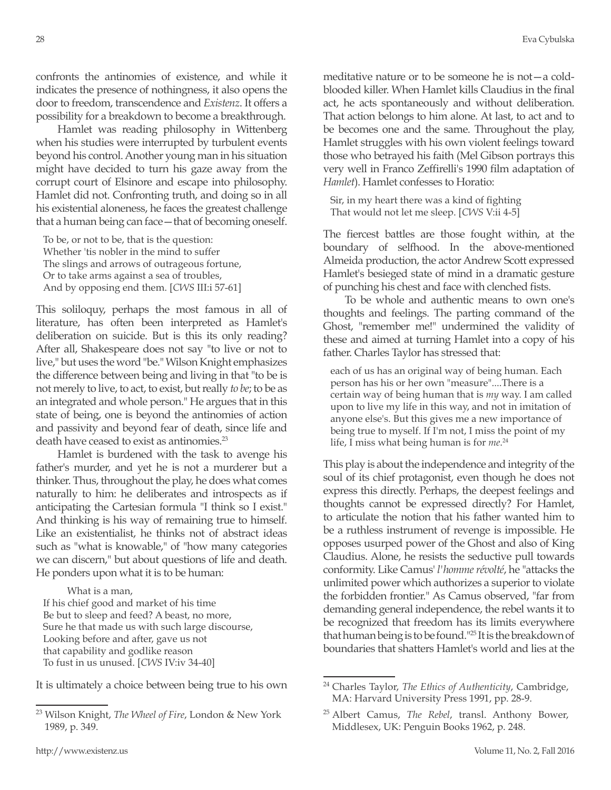confronts the antinomies of existence, and while it indicates the presence of nothingness, it also opens the door to freedom, transcendence and *Existenz*. It offers a possibility for a breakdown to become a breakthrough.

Hamlet was reading philosophy in Wittenberg when his studies were interrupted by turbulent events beyond his control. Another young man in his situation might have decided to turn his gaze away from the corrupt court of Elsinore and escape into philosophy. Hamlet did not. Confronting truth, and doing so in all his existential aloneness, he faces the greatest challenge that a human being can face—that of becoming oneself.

To be, or not to be, that is the question: Whether 'tis nobler in the mind to suffer The slings and arrows of outrageous fortune, Or to take arms against a sea of troubles, And by opposing end them. [*CWS* III:i 57-61]

This soliloquy, perhaps the most famous in all of literature, has often been interpreted as Hamlet's deliberation on suicide. But is this its only reading? After all, Shakespeare does not say "to live or not to live," but uses the word "be." Wilson Knight emphasizes the difference between being and living in that "to be is not merely to live, to act, to exist, but really *to be*; to be as an integrated and whole person." He argues that in this state of being, one is beyond the antinomies of action and passivity and beyond fear of death, since life and death have ceased to exist as antinomies.<sup>23</sup>

Hamlet is burdened with the task to avenge his father's murder, and yet he is not a murderer but a thinker. Thus, throughout the play, he does what comes naturally to him: he deliberates and introspects as if anticipating the Cartesian formula "I think so I exist." And thinking is his way of remaining true to himself. Like an existentialist, he thinks not of abstract ideas such as "what is knowable," of "how many categories we can discern," but about questions of life and death. He ponders upon what it is to be human:

What is a man, If his chief good and market of his time Be but to sleep and feed? A beast, no more, Sure he that made us with such large discourse, Looking before and after, gave us not that capability and godlike reason To fust in us unused. [*CWS* IV:iv 34-40]

It is ultimately a choice between being true to his own

meditative nature or to be someone he is not—a coldblooded killer. When Hamlet kills Claudius in the final act, he acts spontaneously and without deliberation. That action belongs to him alone. At last, to act and to be becomes one and the same. Throughout the play, Hamlet struggles with his own violent feelings toward those who betrayed his faith (Mel Gibson portrays this very well in Franco Zeffirelli's 1990 film adaptation of *Hamlet*). Hamlet confesses to Horatio:

Sir, in my heart there was a kind of fighting That would not let me sleep. [*CWS* V:ii 4-5]

The fiercest battles are those fought within, at the boundary of selfhood. In the above-mentioned Almeida production, the actor Andrew Scott expressed Hamlet's besieged state of mind in a dramatic gesture of punching his chest and face with clenched fists.

To be whole and authentic means to own one's thoughts and feelings. The parting command of the Ghost, "remember me!" undermined the validity of these and aimed at turning Hamlet into a copy of his father. Charles Taylor has stressed that:

each of us has an original way of being human. Each person has his or her own "measure"....There is a certain way of being human that is *my* way. I am called upon to live my life in this way, and not in imitation of anyone else's. But this gives me a new importance of being true to myself. If I'm not, I miss the point of my life, I miss what being human is for *me*. 24

This play is about the independence and integrity of the soul of its chief protagonist, even though he does not express this directly. Perhaps, the deepest feelings and thoughts cannot be expressed directly? For Hamlet, to articulate the notion that his father wanted him to be a ruthless instrument of revenge is impossible. He opposes usurped power of the Ghost and also of King Claudius. Alone, he resists the seductive pull towards conformity. Like Camus' *l'homme révolté*, he "attacks the unlimited power which authorizes a superior to violate the forbidden frontier." As Camus observed, "far from demanding general independence, the rebel wants it to be recognized that freedom has its limits everywhere that human being is to be found."25 It is the breakdown of boundaries that shatters Hamlet's world and lies at the

<sup>23</sup> Wilson Knight, *The Wheel of Fire*, London & New York 1989, p. 349.

<sup>24</sup> Charles Taylor, *The Ethics of Authenticity*, Cambridge, MA: Harvard University Press 1991, pp. 28-9.

<sup>25</sup> Albert Camus, *The Rebel*, transl. Anthony Bower, Middlesex, UK: Penguin Books 1962, p. 248.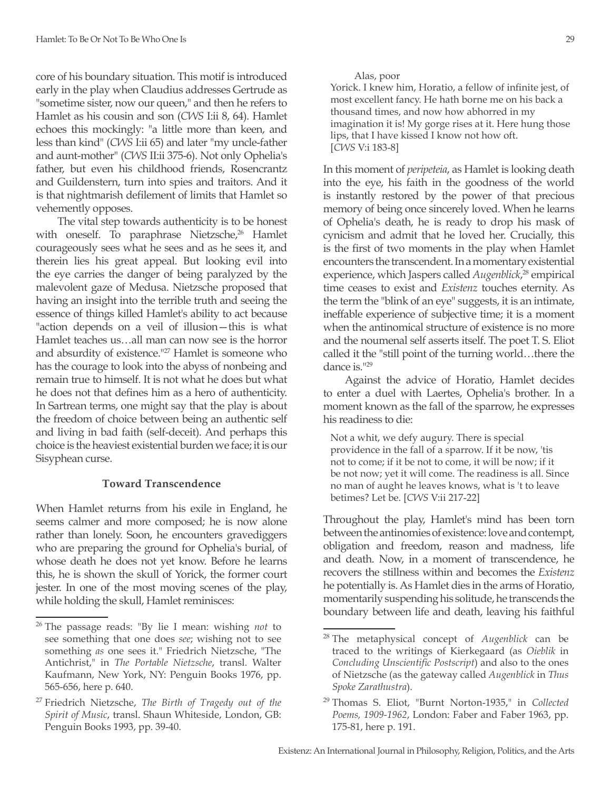core of his boundary situation. This motif is introduced early in the play when Claudius addresses Gertrude as "sometime sister, now our queen," and then he refers to Hamlet as his cousin and son (*CWS* I:ii 8, 64). Hamlet echoes this mockingly: "a little more than keen, and less than kind" (*CWS* I:ii 65) and later "my uncle-father and aunt-mother" (*CWS* II:ii 375-6). Not only Ophelia's father, but even his childhood friends, Rosencrantz and Guildenstern, turn into spies and traitors. And it is that nightmarish defilement of limits that Hamlet so vehemently opposes.

The vital step towards authenticity is to be honest with oneself. To paraphrase Nietzsche,<sup>26</sup> Hamlet courageously sees what he sees and as he sees it, and therein lies his great appeal. But looking evil into the eye carries the danger of being paralyzed by the malevolent gaze of Medusa. Nietzsche proposed that having an insight into the terrible truth and seeing the essence of things killed Hamlet's ability to act because "action depends on a veil of illusion—this is what Hamlet teaches us…all man can now see is the horror and absurdity of existence."<sup>27</sup> Hamlet is someone who has the courage to look into the abyss of nonbeing and remain true to himself. It is not what he does but what he does not that defines him as a hero of authenticity. In Sartrean terms, one might say that the play is about the freedom of choice between being an authentic self and living in bad faith (self-deceit). And perhaps this choice is the heaviest existential burden we face; it is our Sisyphean curse.

### **Toward Transcendence**

When Hamlet returns from his exile in England, he seems calmer and more composed; he is now alone rather than lonely. Soon, he encounters gravediggers who are preparing the ground for Ophelia's burial, of whose death he does not yet know. Before he learns this, he is shown the skull of Yorick, the former court jester. In one of the most moving scenes of the play, while holding the skull, Hamlet reminisces:

Alas, poor

Yorick. I knew him, Horatio, a fellow of infinite jest, of most excellent fancy. He hath borne me on his back a thousand times, and now how abhorred in my imagination it is! My gorge rises at it. Here hung those lips, that I have kissed I know not how oft. [*CWS* V:i 183-8]

In this moment of *peripeteia*, as Hamlet is looking death into the eye, his faith in the goodness of the world is instantly restored by the power of that precious memory of being once sincerely loved. When he learns of Ophelia's death, he is ready to drop his mask of cynicism and admit that he loved her. Crucially, this is the first of two moments in the play when Hamlet encounters the transcendent. In a momentary existential experience, which Jaspers called *Augenblick*, 28 empirical time ceases to exist and *Existenz* touches eternity. As the term the "blink of an eye" suggests, it is an intimate, ineffable experience of subjective time; it is a moment when the antinomical structure of existence is no more and the noumenal self asserts itself. The poet T. S. Eliot called it the "still point of the turning world…there the dance is.<sup>1129</sup>

Against the advice of Horatio, Hamlet decides to enter a duel with Laertes, Ophelia's brother. In a moment known as the fall of the sparrow, he expresses his readiness to die:

Not a whit, we defy augury. There is special providence in the fall of a sparrow. If it be now, 'tis not to come; if it be not to come, it will be now; if it be not now; yet it will come. The readiness is all. Since no man of aught he leaves knows, what is 't to leave betimes? Let be. [*CWS* V:ii 217-22]

Throughout the play, Hamlet's mind has been torn between the antinomies of existence: love and contempt, obligation and freedom, reason and madness, life and death. Now, in a moment of transcendence, he recovers the stillness within and becomes the *Existenz*  he potentially is. As Hamlet dies in the arms of Horatio, momentarily suspending his solitude, he transcends the boundary between life and death, leaving his faithful

<sup>26</sup> The passage reads: "By lie I mean: wishing *not* to see something that one does *see*; wishing not to see something *as* one sees it." Friedrich Nietzsche, "The Antichrist," in *The Portable Nietzsche*, transl. Walter Kaufmann, New York, NY: Penguin Books 1976, pp. 565-656, here p. 640.

<sup>27</sup> Friedrich Nietzsche, *The Birth of Tragedy out of the Spirit of Music*, transl. Shaun Whiteside, London, GB: Penguin Books 1993, pp. 39-40.

<sup>28</sup> The metaphysical concept of *Augenblick* can be traced to the writings of Kierkegaard (as *Oieblik* in *Concluding Unscientific Postscript*) and also to the ones of Nietzsche (as the gateway called *Augenblick* in *Thus Spoke Zarathustra*).

<sup>29</sup> Thomas S. Eliot, "Burnt Norton-1935," in *Collected Poems, 1909-1962*, London: Faber and Faber 1963, pp. 175-81, here p. 191.